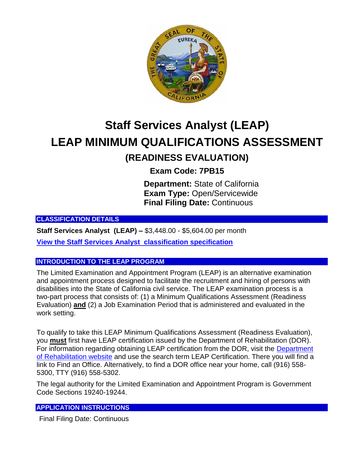

# **Staff Services Analyst (LEAP) LEAP MINIMUM QUALIFICATIONS ASSESSMENT (READINESS EVALUATION)**

**Exam Code: 7PB15**

**Department:** State of California **Exam Type:** Open/Servicewide **Final Filing Date:** Continuous

**CLASSIFICATION DETAILS**

**Staff Services Analyst (LEAP) –** \$3,448.00 - \$5,604.00 per month

**[View the Staff Services Analyst classification specification](https://www.calhr.ca.gov/state-hr-professionals/Pages/5157.aspx)**

#### **INTRODUCTION TO THE LEAP PROGRAM**

The Limited Examination and Appointment Program (LEAP) is an alternative examination and appointment process designed to facilitate the recruitment and hiring of persons with disabilities into the State of California civil service. The LEAP examination process is a two-part process that consists of: (1) a Minimum Qualifications Assessment (Readiness Evaluation) **and** (2) a Job Examination Period that is administered and evaluated in the work setting.

To qualify to take this LEAP Minimum Qualifications Assessment (Readiness Evaluation), you **must** first have LEAP certification issued by the Department of Rehabilitation (DOR). For information regarding obtaining LEAP certification from the DOR, visit the [Department](http://www.dor.ca.gov/)  [of Rehabilitation website](http://www.dor.ca.gov/) and use the search term LEAP Certification. There you will find a link to Find an Office. Alternatively, to find a DOR office near your home, call (916) 558- 5300, TTY (916) 558-5302.

The legal authority for the Limited Examination and Appointment Program is Government Code Sections 19240-19244.

## **APPLICATION INSTRUCTIONS**

Final Filing Date: Continuous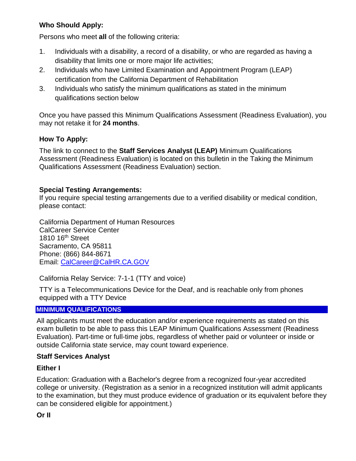# **Who Should Apply:**

Persons who meet **all** of the following criteria:

- 1. Individuals with a disability, a record of a disability, or who are regarded as having a disability that limits one or more major life activities;
- 2. Individuals who have Limited Examination and Appointment Program (LEAP) certification from the California Department of Rehabilitation
- 3. Individuals who satisfy the minimum qualifications as stated in the minimum qualifications section below

Once you have passed this Minimum Qualifications Assessment (Readiness Evaluation), you may not retake it for **24 months**.

# **How To Apply:**

The link to connect to the **Staff Services Analyst (LEAP)** Minimum Qualifications Assessment (Readiness Evaluation) is located on this bulletin in the Taking the Minimum Qualifications Assessment (Readiness Evaluation) section.

# **Special Testing Arrangements:**

If you require special testing arrangements due to a verified disability or medical condition, please contact:

California Department of Human Resources CalCareer Service Center 1810 16th Street Sacramento, CA 95811 Phone: (866) 844-8671 Email: [CalCareer@CalHR.CA.GOV](mailto:CalCareer@CalHR.CA.GOV)

California Relay Service: 7-1-1 (TTY and voice)

TTY is a Telecommunications Device for the Deaf, and is reachable only from phones equipped with a TTY Device

## **MINIMUM QUALIFICATIONS**

All applicants must meet the education and/or experience requirements as stated on this exam bulletin to be able to pass this LEAP Minimum Qualifications Assessment (Readiness Evaluation). Part-time or full-time jobs, regardless of whether paid or volunteer or inside or outside California state service, may count toward experience.

## **Staff Services Analyst**

## **Either I**

Education: Graduation with a Bachelor's degree from a recognized four-year accredited college or university. (Registration as a senior in a recognized institution will admit applicants to the examination, but they must produce evidence of graduation or its equivalent before they can be considered eligible for appointment.)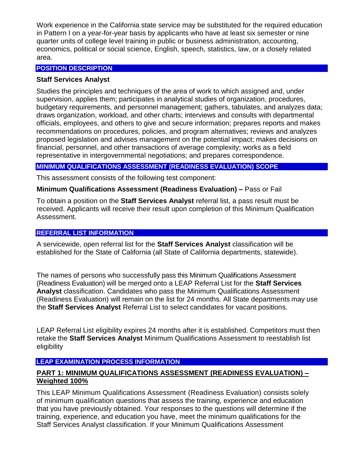Work experience in the California state service may be substituted for the required education in Pattern I on a year-for-year basis by applicants who have at least six semester or nine quarter units of college level training in public or business administration, accounting, economics, political or social science, English, speech, statistics, law, or a closely related area.

#### **POSITION DESCRIPTION**

#### **Staff Services Analyst**

Studies the principles and techniques of the area of work to which assigned and, under supervision, applies them; participates in analytical studies of organization, procedures, budgetary requirements, and personnel management; gathers, tabulates, and analyzes data; draws organization, workload, and other charts; interviews and consults with departmental officials, employees, and others to give and secure information; prepares reports and makes recommendations on procedures, policies, and program alternatives; reviews and analyzes proposed legislation and advises management on the potential impact; makes decisions on financial, personnel, and other transactions of average complexity; works as a field representative in intergovernmental negotiations; and prepares correspondence.

#### **MINIMUM QUALIFICATIONS ASSESSMENT (READINESS EVALUATION) SCOPE**

This assessment consists of the following test component:

#### **Minimum Qualifications Assessment (Readiness Evaluation) –** Pass or Fail

To obtain a position on the **Staff Services Analyst** referral list, a pass result must be received. Applicants will receive their result upon completion of this Minimum Qualification Assessment.

#### **REFERRAL LIST INFORMATION**

A servicewide, open referral list for the **Staff Services Analyst** classification will be established for the State of California (all State of California departments, statewide).

The names of persons who successfully pass this Minimum Qualifications Assessment (Readiness Evaluation) will be merged onto a LEAP Referral List for the **Staff Services Analyst** classification. Candidates who pass the Minimum Qualifications Assessment (Readiness Evaluation) will remain on the list for 24 months. All State departments may use the **Staff Services Analyst** Referral List to select candidates for vacant positions.

LEAP Referral List eligibility expires 24 months after it is established. Competitors must then retake the **Staff Services Analyst** Minimum Qualifications Assessment to reestablish list eligibility

## **LEAP EXAMINATION PROCESS INFORMATION**

#### **PART 1: MINIMUM QUALIFICATIONS ASSESSMENT (READINESS EVALUATION) – Weighted 100%**

This LEAP Minimum Qualifications Assessment (Readiness Evaluation) consists solely of minimum qualification questions that assess the training, experience and education that you have previously obtained. Your responses to the questions will determine if the training, experience, and education you have, meet the minimum qualifications for the Staff Services Analyst classification. If your Minimum Qualifications Assessment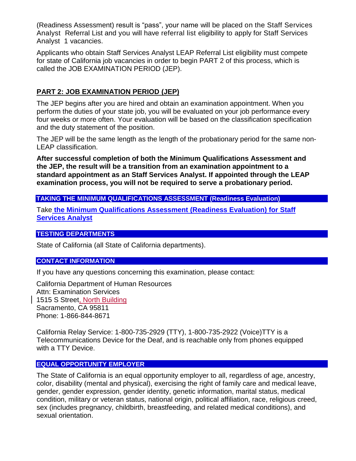(Readiness Assessment) result is "pass", your name will be placed on the Staff Services Analyst Referral List and you will have referral list eligibility to apply for Staff Services Analyst 1 vacancies.

Applicants who obtain Staff Services Analyst LEAP Referral List eligibility must compete for state of California job vacancies in order to begin PART 2 of this process, which is called the JOB EXAMINATION PERIOD (JEP).

## **PART 2: JOB EXAMINATION PERIOD (JEP)**

The JEP begins after you are hired and obtain an examination appointment. When you perform the duties of your state job, you will be evaluated on your job performance every four weeks or more often. Your evaluation will be based on the classification specification and the duty statement of the position.

The JEP will be the same length as the length of the probationary period for the same non-LEAP classification.

**After successful completion of both the Minimum Qualifications Assessment and the JEP, the result will be a transition from an examination appointment to a standard appointment as an Staff Services Analyst. If appointed through the LEAP examination process, you will not be required to serve a probationary period.** 

#### **TAKING THE MINIMUM QUALIFICATIONS ASSESSMENT (Readiness Evaluation)**

Take **[the Minimum Qualifications Assessment \(Readiness Evaluation\) for Staff](https://www.jobs.ca.gov/CalHRPublic/Login.aspx?ExamId=7PB15)  [Services Analyst](https://www.jobs.ca.gov/CalHRPublic/Login.aspx?ExamId=7PB15)** 

#### **TESTING DEPARTMENTS**

State of California (all State of California departments).

#### **CONTACT INFORMATION**

If you have any questions concerning this examination, please contact:

California Department of Human Resources Attn: Examination Services 1515 S Street, North Building Sacramento, CA 95811 Phone: 1-866-844-8671

California Relay Service: 1-800-735-2929 (TTY), 1-800-735-2922 (Voice)TTY is a Telecommunications Device for the Deaf, and is reachable only from phones equipped with a TTY Device.

#### **EQUAL OPPORTUNITY EMPLOYER**

The State of California is an equal opportunity employer to all, regardless of age, ancestry, color, disability (mental and physical), exercising the right of family care and medical leave, gender, gender expression, gender identity, genetic information, marital status, medical condition, military or veteran status, national origin, political affiliation, race, religious creed, sex (includes pregnancy, childbirth, breastfeeding, and related medical conditions), and sexual orientation.